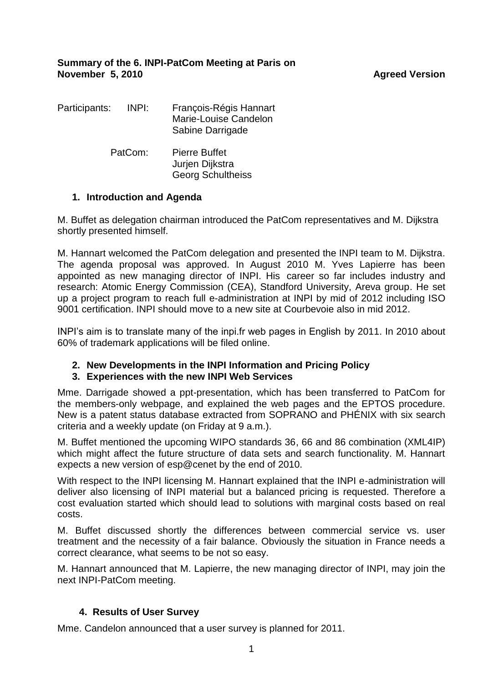| Participants: | INPI: | François-Régis Hannart<br>Marie-Louise Candelon<br>Sabine Darrigade |
|---------------|-------|---------------------------------------------------------------------|
| PatCom:       |       | Pierre Buffet<br>Jurjen Dijkstra<br><b>Georg Schultheiss</b>        |

# **1. Introduction and Agenda**

M. Buffet as delegation chairman introduced the PatCom representatives and M. Dijkstra shortly presented himself.

M. Hannart welcomed the PatCom delegation and presented the INPI team to M. Dijkstra. The agenda proposal was approved. In August 2010 M. Yves Lapierre has been appointed as new managing director of INPI. His career so far includes industry and research: Atomic Energy Commission (CEA), Standford University, Areva group. He set up a project program to reach full e-administration at INPI by mid of 2012 including ISO 9001 certification. INPI should move to a new site at Courbevoie also in mid 2012.

INPI's aim is to translate many of the inpi.fr web pages in English by 2011. In 2010 about 60% of trademark applications will be filed online.

## **2. New Developments in the INPI Information and Pricing Policy**

## **3. Experiences with the new INPI Web Services**

Mme. Darrigade showed a ppt-presentation, which has been transferred to PatCom for the members-only webpage, and explained the web pages and the EPTOS procedure. New is a patent status database extracted from SOPRANO and PHÉNIX with six search criteria and a weekly update (on Friday at 9 a.m.).

M. Buffet mentioned the upcoming WIPO standards 36, 66 and 86 combination (XML4IP) which might affect the future structure of data sets and search functionality. M. Hannart expects a new version of esp@cenet by the end of 2010.

With respect to the INPI licensing M. Hannart explained that the INPI e-administration will deliver also licensing of INPI material but a balanced pricing is requested. Therefore a cost evaluation started which should lead to solutions with marginal costs based on real costs.

M. Buffet discussed shortly the differences between commercial service vs. user treatment and the necessity of a fair balance. Obviously the situation in France needs a correct clearance, what seems to be not so easy.

M. Hannart announced that M. Lapierre, the new managing director of INPI, may join the next INPI-PatCom meeting.

## **4. Results of User Survey**

Mme. Candelon announced that a user survey is planned for 2011.